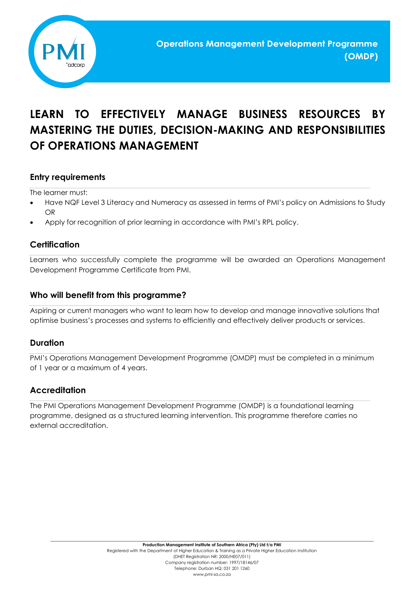

# **LEARN TO EFFECTIVELY MANAGE BUSINESS RESOURCES BY MASTERING THE DUTIES, DECISION-MAKING AND RESPONSIBILITIES OF OPERATIONS MANAGEMENT**

# **Entry requirements**

The learner must:

- Have NQF Level 3 Literacy and Numeracy as assessed in terms of PMI's policy on Admissions to Study OR
- Apply for recognition of prior learning in accordance with PMI's RPL policy.

## **Certification**

Learners who successfully complete the programme will be awarded an Operations Management Development Programme Certificate from PMI.

#### **Who will benefit from this programme?**

Aspiring or current managers who want to learn how to develop and manage innovative solutions that optimise business's processes and systems to efficiently and effectively deliver products or services.

#### **Duration**

PMI's Operations Management Development Programme (OMDP) must be completed in a minimum of 1 year or a maximum of 4 years.

## **Accreditation**

The PMI Operations Management Development Programme (OMDP) is a foundational learning programme, designed as a structured learning intervention. This programme therefore carries no external accreditation.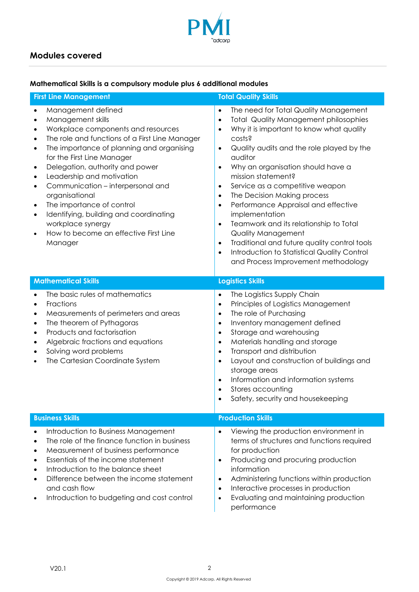

# **Modules covered**

#### **Mathematical Skills is a compulsory module plus 6 additional modules**

| <b>First Line Management</b>                                                                                                                                                                                                                                                                                                                                                                                                                                                                                                                                                                                                     | <b>Total Quality Skills</b>                                                                                                                                                                                                                                                                                                                                                                                                                                                                                                                                                                                                                                                                                                                           |
|----------------------------------------------------------------------------------------------------------------------------------------------------------------------------------------------------------------------------------------------------------------------------------------------------------------------------------------------------------------------------------------------------------------------------------------------------------------------------------------------------------------------------------------------------------------------------------------------------------------------------------|-------------------------------------------------------------------------------------------------------------------------------------------------------------------------------------------------------------------------------------------------------------------------------------------------------------------------------------------------------------------------------------------------------------------------------------------------------------------------------------------------------------------------------------------------------------------------------------------------------------------------------------------------------------------------------------------------------------------------------------------------------|
| Management defined<br>$\bullet$<br>Management skills<br>$\bullet$<br>Workplace components and resources<br>$\bullet$<br>The role and functions of a First Line Manager<br>$\bullet$<br>The importance of planning and organising<br>$\bullet$<br>for the First Line Manager<br>Delegation, authority and power<br>$\bullet$<br>Leadership and motivation<br>$\bullet$<br>Communication - interpersonal and<br>$\bullet$<br>organisational<br>The importance of control<br>$\bullet$<br>Identifying, building and coordinating<br>$\bullet$<br>workplace synergy<br>How to become an effective First Line<br>$\bullet$<br>Manager | The need for Total Quality Management<br>$\bullet$<br><b>Total Quality Management philosophies</b><br>$\bullet$<br>Why it is important to know what quality<br>$\bullet$<br>costs?<br>Quality audits and the role played by the<br>$\bullet$<br>auditor<br>Why an organisation should have a<br>$\bullet$<br>mission statement?<br>Service as a competitive weapon<br>$\bullet$<br>The Decision Making process<br>$\bullet$<br>Performance Appraisal and effective<br>$\bullet$<br>implementation<br>Teamwork and its relationship to Total<br>$\bullet$<br><b>Quality Management</b><br>Traditional and future quality control tools<br>$\bullet$<br>Introduction to Statistical Quality Control<br>$\bullet$<br>and Process Improvement methodology |
| <b>Mathematical Skills</b>                                                                                                                                                                                                                                                                                                                                                                                                                                                                                                                                                                                                       | <b>Logistics Skills</b>                                                                                                                                                                                                                                                                                                                                                                                                                                                                                                                                                                                                                                                                                                                               |
| The basic rules of mathematics<br>$\bullet$<br>Fractions<br>$\bullet$<br>Measurements of perimeters and areas<br>$\bullet$<br>The theorem of Pythagoras<br>$\bullet$<br>Products and factorisation<br>$\bullet$<br>Algebraic fractions and equations<br>٠<br>Solving word problems<br>$\bullet$<br>The Cartesian Coordinate System                                                                                                                                                                                                                                                                                               | The Logistics Supply Chain<br>$\bullet$<br>Principles of Logistics Management<br>$\bullet$<br>The role of Purchasing<br>$\bullet$<br>Inventory management defined<br>$\bullet$<br>Storage and warehousing<br>$\bullet$<br>Materials handling and storage<br>$\bullet$<br>Transport and distribution<br>$\bullet$<br>Layout and construction of buildings and<br>$\bullet$<br>storage areas<br>Information and information systems<br>$\bullet$<br>Stores accounting<br>$\bullet$<br>Safety, security and housekeeping<br>$\bullet$                                                                                                                                                                                                                    |
| <b>Business Skills</b>                                                                                                                                                                                                                                                                                                                                                                                                                                                                                                                                                                                                           | <b>Production Skills</b>                                                                                                                                                                                                                                                                                                                                                                                                                                                                                                                                                                                                                                                                                                                              |
| Introduction to Business Management<br>$\bullet$<br>The role of the finance function in business<br>$\bullet$<br>Measurement of business performance<br>Essentials of the income statement<br>Introduction to the balance sheet<br>Difference between the income statement<br>and cash flow<br>Introduction to budgeting and cost control                                                                                                                                                                                                                                                                                        | Viewing the production environment in<br>$\bullet$<br>terms of structures and functions required<br>for production<br>Producing and procuring production<br>$\bullet$<br>information<br>Administering functions within production<br>$\bullet$<br>Interactive processes in production<br>$\bullet$<br>Evaluating and maintaining production<br>$\bullet$<br>performance                                                                                                                                                                                                                                                                                                                                                                               |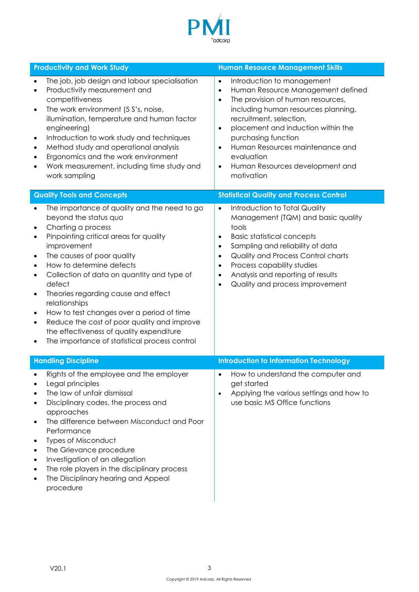

| <b>Productivity and Work Study</b>                                                                                                                                                                                                                                                                                                                                                                                                                                                                                                                                                              | <b>Human Resource Management Skills</b>                                                                                                                                                                                                                                                                                                                                                                             |
|-------------------------------------------------------------------------------------------------------------------------------------------------------------------------------------------------------------------------------------------------------------------------------------------------------------------------------------------------------------------------------------------------------------------------------------------------------------------------------------------------------------------------------------------------------------------------------------------------|---------------------------------------------------------------------------------------------------------------------------------------------------------------------------------------------------------------------------------------------------------------------------------------------------------------------------------------------------------------------------------------------------------------------|
| The job, job design and labour specialisation<br>Productivity measurement and<br>$\bullet$<br>competitiveness<br>The work environment (5 S's, noise,<br>$\bullet$<br>illumination, temperature and human factor<br>engineering)<br>Introduction to work study and techniques<br>$\bullet$<br>Method study and operational analysis<br>٠<br>Ergonomics and the work environment<br>Work measurement, including time study and<br>work sampling                                                                                                                                                   | Introduction to management<br>$\bullet$<br>Human Resource Management defined<br>$\bullet$<br>The provision of human resources,<br>$\bullet$<br>including human resources planning,<br>recruitment, selection,<br>placement and induction within the<br>$\bullet$<br>purchasing function<br>Human Resources maintenance and<br>$\bullet$<br>evaluation<br>Human Resources development and<br>$\bullet$<br>motivation |
| <b>Quality Tools and Concepts</b>                                                                                                                                                                                                                                                                                                                                                                                                                                                                                                                                                               | <b>Statistical Quality and Process Control</b>                                                                                                                                                                                                                                                                                                                                                                      |
| The importance of quality and the need to go<br>beyond the status quo<br>Charting a process<br>٠<br>Pinpointing critical areas for quality<br>$\bullet$<br>improvement<br>The causes of poor quality<br>$\bullet$<br>How to determine defects<br>$\bullet$<br>Collection of data on quantity and type of<br>$\bullet$<br>defect<br>Theories regarding cause and effect<br>٠<br>relationships<br>How to test changes over a period of time<br>٠<br>Reduce the cost of poor quality and improve<br>٠<br>the effectiveness of quality expenditure<br>The importance of statistical process control | Introduction to Total Quality<br>$\bullet$<br>Management (TQM) and basic quality<br>tools<br><b>Basic statistical concepts</b><br>$\bullet$<br>Sampling and reliability of data<br>$\bullet$<br>Quality and Process Control charts<br>$\bullet$<br>Process capability studies<br>$\bullet$<br>Analysis and reporting of results<br>$\bullet$<br>Quality and process improvement<br>$\bullet$                        |
| <b>Handling Discipline</b>                                                                                                                                                                                                                                                                                                                                                                                                                                                                                                                                                                      | <b>Introduction to Information Technology</b>                                                                                                                                                                                                                                                                                                                                                                       |
| Rights of the employee and the employer<br>Legal principles<br>The law of unfair dismissal<br>Disciplinary codes, the process and<br>approaches<br>The difference between Misconduct and Poor<br>٠<br>Performance<br><b>Types of Misconduct</b><br>The Grievance procedure<br>Investigation of an allegation<br>The role players in the disciplinary process<br>The Disciplinary hearing and Appeal<br>procedure                                                                                                                                                                                | How to understand the computer and<br>$\bullet$<br>get started<br>Applying the various settings and how to<br>$\bullet$<br>use basic MS Office functions                                                                                                                                                                                                                                                            |